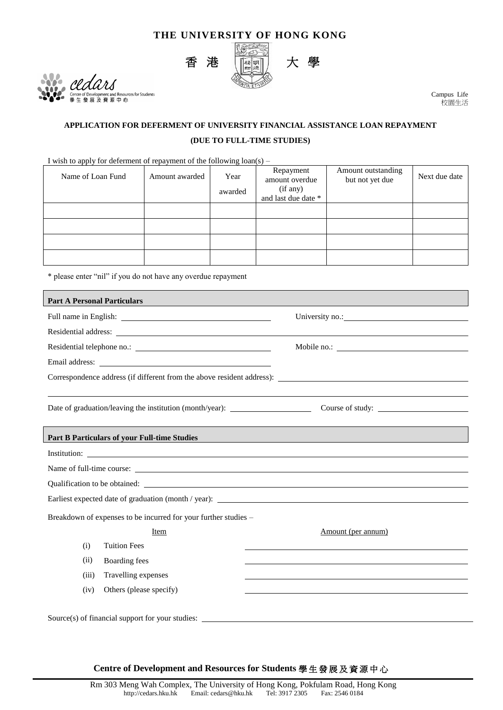## **THE UNIVERSITY OF HONG KONG**



ars of Development and Resources for Students<br>發展及資源中心

Campus Life 校園生活

## **APPLICATION FOR DEFERMENT OF UNIVERSITY FINANCIAL ASSISTANCE LOAN REPAYMENT (DUE TO FULL-TIME STUDIES)**

I wish to apply for deferment of repayment of the following loan(s) –

| Name of Loan Fund | Amount awarded | Year<br>awarded | Repayment<br>amount overdue<br>(if any)<br>and last due date * | Amount outstanding<br>but not yet due | Next due date |
|-------------------|----------------|-----------------|----------------------------------------------------------------|---------------------------------------|---------------|
|                   |                |                 |                                                                |                                       |               |
|                   |                |                 |                                                                |                                       |               |
|                   |                |                 |                                                                |                                       |               |
|                   |                |                 |                                                                |                                       |               |

\* please enter "nil" if you do not have any overdue repayment

| <b>Part A Personal Particulars</b>                                                |                                                                                                                                                                                                                                |                    |  |  |  |
|-----------------------------------------------------------------------------------|--------------------------------------------------------------------------------------------------------------------------------------------------------------------------------------------------------------------------------|--------------------|--|--|--|
|                                                                                   |                                                                                                                                                                                                                                | University no.:    |  |  |  |
|                                                                                   |                                                                                                                                                                                                                                |                    |  |  |  |
|                                                                                   |                                                                                                                                                                                                                                |                    |  |  |  |
|                                                                                   |                                                                                                                                                                                                                                |                    |  |  |  |
| Correspondence address (if different from the above resident address):            |                                                                                                                                                                                                                                |                    |  |  |  |
| Date of graduation/leaving the institution (month/year): _______________________  |                                                                                                                                                                                                                                | Course of study:   |  |  |  |
| <b>Part B Particulars of your Full-time Studies</b>                               |                                                                                                                                                                                                                                |                    |  |  |  |
|                                                                                   | Institution:                                                                                                                                                                                                                   |                    |  |  |  |
|                                                                                   | Name of full-time course:                                                                                                                                                                                                      |                    |  |  |  |
|                                                                                   | Qualification to be obtained: Let us a series of the series of the series of the series of the series of the series of the series of the series of the series of the series of the series of the series of the series of the s |                    |  |  |  |
| Earliest expected date of graduation (month / year): ____________________________ |                                                                                                                                                                                                                                |                    |  |  |  |
| Breakdown of expenses to be incurred for your further studies -                   |                                                                                                                                                                                                                                |                    |  |  |  |
|                                                                                   | Item                                                                                                                                                                                                                           | Amount (per annum) |  |  |  |
| (i)                                                                               | <b>Tuition Fees</b>                                                                                                                                                                                                            |                    |  |  |  |
| (ii)                                                                              | Boarding fees                                                                                                                                                                                                                  |                    |  |  |  |
| (iii)                                                                             | Travelling expenses                                                                                                                                                                                                            |                    |  |  |  |
| (iv)                                                                              | Others (please specify)                                                                                                                                                                                                        |                    |  |  |  |
|                                                                                   | Source(s) of financial support for your studies: $\sqrt{\frac{1}{1 - \frac{1}{1}} + \frac{1}{1}}$                                                                                                                              |                    |  |  |  |

**Centre of Development and Resources for Students** 學生發展及資源中心